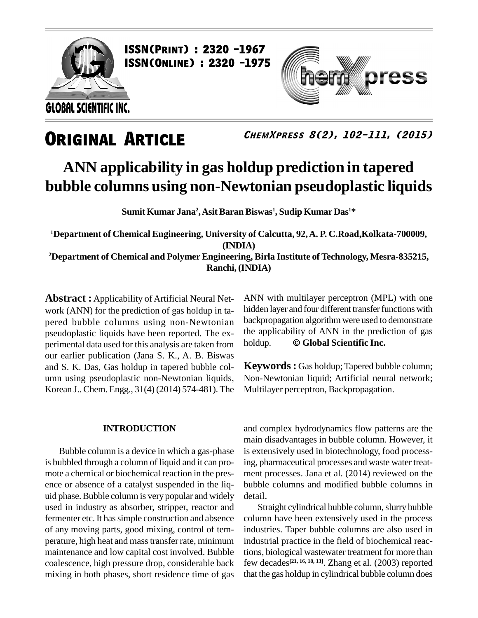

**ISSN(PRINT) : 2320 -1967<br>ISSN(Online) : 2320 -1975** 



### **ORIGINAL ARTICLE**

**ChemXpress 8(2), 102-111, (2015)**

### **ANN applicability in gas holdup prediction in tapered bubble columns using non-Newtonian pseudoplastic liquids**

 $\boldsymbol{\mathrm{Sumit}}$  <code>Kumar</code> <code>Jana $^2$ , $\boldsymbol{\mathrm{Asit}}$  <code>Baran Biswas $^1$ , $\boldsymbol{\mathrm{Sudip}}$  <code>Kumar</code> <code>Das $^{1*}$ </code></code></code>

**<sup>1</sup>Department of Chemical Engineering, University of Calcutta, 92,A. P. C.Road,Kolkata-700009, (INDIA) <sup>2</sup>Department of Chemical and PolymerEngineering, Birla Institute of Technology, Mesra-835215, Ranchi, (INDIA)**

**Abstract :** Applicability of Artificial Neural Net work (ANN) for the prediction of gas holdup in ta pered bubble columns using non-Newtonian pseudoplastic liquids have been reported. The ex-<br>nerimental data used for this analysis are taken from holdup. perimental data used for this analysis are taken from our earlier publication (Jana S. K., A. B. Biswas and S. K. Das, Gas holdup in tapered bubble col umn using pseudoplastic non-Newtonian liquids, Korean J..Chem. Engg., 31(4) (2014) 574-481). The

#### **INTRODUCTION**

Bubble column is a device in which a gas-phase is bubbled through a column of liquid and it can pro mote a chemical or biochemical reaction in the pres ence or absence of a catalyst suspended in the liq uid phase. Bubble column is very popular and widely used in industry as absorber, stripper, reactor and fermenter etc. It has simple construction and absence of any moving parts, good mixing, control of tem perature, high heat and masstransfer rate, minimum maintenance and low capital cost involved. Bubble coalescence, high pressure drop, considerable back mixing in both phases, short residence time of gas

ANN with multilayer perceptron (MPL) with one hidden layer and four different transfer functions with backpropagation algorithm were used to demonstrate<br>the applicability of ANN in the prediction of gas<br>holdup. **© Global Scientific Inc.** the applicability of ANN in the prediction of gas

**Keywords:** Gas holdup; Tapered bubble column; Non-Newtonian liquid; Artificial neural network; Multilayer perceptron, Backpropagation.

and complex hydrodynamics flow patterns are the main disadvantages in bubble column. However, it is extensively used in biotechnology, food processing, pharmaceutical processes and waste water treat ment processes. Jana et al. (2014) reviewed on the bubble columns and modified bubble columns in detail.

Straight cylindrical bubble column, slurry bubble column have been extensively used in the process industries. Taper bubble columns are also used in industrial practice in the field of biochemical reactions, biological wastewater treatment for more than few decades **[21, 16, 18, 13]**. Zhang et al. (2003) reported that the gas holdup in cylindrical bubble column does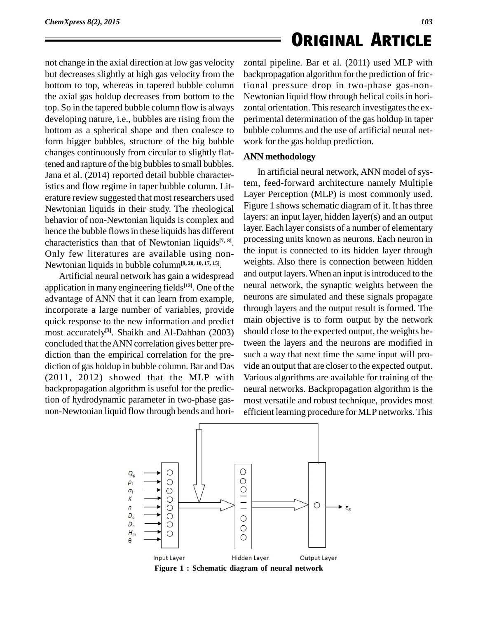not change in the axial direction at low gas velocity but decreases slightly at high gas velocity from the bottom to top, whereas in tapered bubble column the axial gas holdup decreases from bottom to the top. So in the tapered bubble column flow is always developing nature, i.e., bubbles are rising from the bottom as a spherical shape and then coalesce to form bigger bubbles, structure of the big bubble changes continuously from circular to slightly flattened and rapture of the big bubbles to small bubbles. Jana et al. (2014) reported detail bubble characteristics and flow regime in taper bubble column. Lit erature review suggested that most researchers used Newtonian liquids in their study. The rheological behavior of non-Newtonian liquids is complex and hence the bubble flows in these liquids has different characteristics than that of Newtonian liquids **[7, 8]**. Only few literatures are available using non- Newtonian liquids in bubble column **[9, 20, 10, 17, 15]**.

Artificial neural network has gain a widespread application in many engineering fields **[12]**. One of the advantage of ANN that it can learn from example, incorporate a large number of variables, provide quick response to the new information and predict most accurately **[3]**. Shaikh and Al-Dahhan (2003) concluded that theANN correlation gives better pre diction than the empirical correlation for the pre diction of gas holdup in bubble column. Bar and Das (2011, 2012) showed that the MLP with backpropagation algorithm is useful for the prediction of hydrodynamic parameter in two-phase gas non-Newtonian liquid flow through bends and hori-

zontal pipeline. Bar et al. (2011) used MLP with backpropagation algorithm for the prediction of frictional pressure drop in two-phase gas-non- Newtonian liquid flow through helical coils in horizontal orientation. This research investigates the experimental determination of the gas holdup in taper bubble columns and the use of artificial neural net work for the gas holdup prediction.

#### **ANN methodology**

In artificial neural network, ANN model of system, feed-forward architecture namely Multiple Layer Perception (MLP) is most commonly used. Figure 1 shows schematic diagram of it. It has three layers: an input layer, hidden layer(s) and an output layer. Each layer consists of a number of elementary processing units known as neurons. Each neuron in the input is connected to its hidden layer through weights. Also there is connection between hidden and output layers. When an input is introduced to the neural network, the synaptic weights between the neurons are simulated and these signals propagate through layers and the output result is formed. The main objective is to form output by the network should close to the expected output, the weights between the layers and the neurons are modified in such a way that next time the same input will pro vide an output that are closer to the expected output. Various algorithms are available for training of the neural networks. Backpropagation algorithm is the most versatile and robust technique, provides most efficient learning procedure for MLP networks. This



**Figure 1 : Schematic diagram of neural network**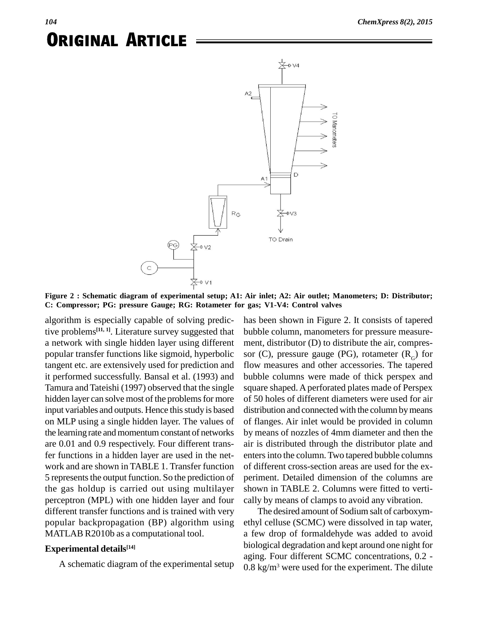

Figure 2 : Schematic diagram of experimental setup; A1: Air inlet; A2: Air outlet; Manometers; D: Distributor; **C: Compressor; PG: pressure Gauge; RG: Rotameter for gas; V1-V4: Control valves**

algorithm is especially capable of solving predictive problems **[11, 1]**. Literature survey suggested that a network with single hidden layer using different popular transfer functions like sigmoid, hyperbolic tangent etc. are extensively used for prediction and it performed successfully. Bansal et al. (1993) and Tamura and Tateishi (1997) observed that the single hidden layer can solve most of the problems for more input variables and outputs. Hence this study is based on MLP using a single hidden layer. The values of the learning rate and momentum constant of networks are 0.01 and 0.9 respectively. Four different transfer functions in a hidden layer are used in the net work and are shown in TABLE 1. Transfer function 5 represents the output function. So the prediction of the gas holdup is carried out using multilayer perceptron (MPL) with one hidden layer and four different transfer functions and is trained with very popular backpropagation (BP) algorithm using MATLAB R2010b as a computational tool.

#### **Experimental details [14]**

A schematic diagram of the experimental setup

has been shown in Figure 2. It consists of tapered bubble column, manometers for pressure measure ment, distributor (D) to distribute the air, compres sor (C), pressure gauge (PG), rotameter  $(R<sub>G</sub>)$  for flow measures and other accessories. The tapered bubble columns were made of thick perspex and square shaped.Aperforated plates made of Perspex of 50 holes of different diameters were used for air distribution and connected with the column by means of flanges. Air inlet would be provided in column by means of nozzles of 4mm diameter and then the air is distributed through the distributor plate and entersinto the column. Two tapered bubble columns of different cross-section areas are used for the ex periment. Detailed dimension of the columns are shown in TABLE 2. Columns were fitted to verti cally by means of clamps to avoid any vibration.

The desired amount of Sodium salt of carboxym ethyl celluse (SCMC) were dissolved in tap water, a few drop of formaldehyde was added to avoid biological degradation and kept around one night for aging. Four different SCMC concentrations, 0.2 -  $0.8 \text{ kg/m}^3$  were used for the experiment. The dilute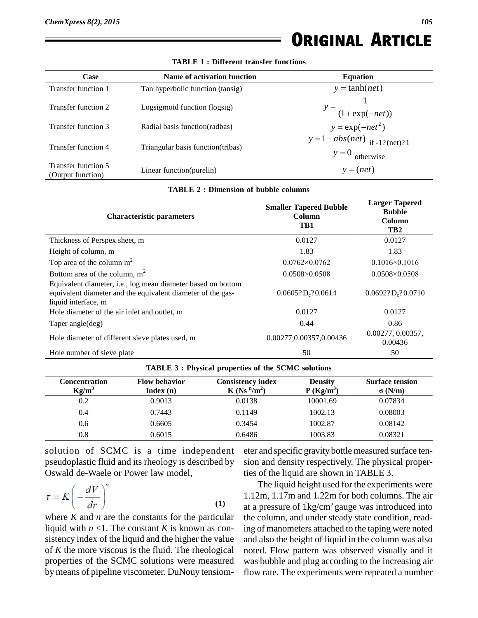| TABLE 1 : Different transfer functions   |                                    |                                                       |  |
|------------------------------------------|------------------------------------|-------------------------------------------------------|--|
| Case                                     | Name of activation function        | <b>Equation</b>                                       |  |
| Transfer function 1                      | Tan hyperbolic function (tansig)   | $y = \tanh(net)$                                      |  |
| Transfer function 2                      | Logsigmoid function (logsig)       | $y = \frac{}{(1 + \exp(-net))}$                       |  |
| Transfer function 3                      | Radial basis function(radbas)      | $y = \exp(-net^2)$                                    |  |
| Transfer function 4                      | Triangular basis function (tribas) | $y = 1 - abs(net)$ if -1?(net)?1<br>$y = 0$ otherwise |  |
| Transfer function 5<br>(Output function) | Linear function(purelin)           | $y = (net)$                                           |  |

#### **TABLE 1 : Different transfer functions**

| <b>TABLE 2: Dimension of bubble columns</b> |  |
|---------------------------------------------|--|
|---------------------------------------------|--|

| <b>Characteristic parameters</b>                                                                                                                   | <b>Smaller Tapered Bubble</b><br>Column<br>TB1 | <b>Larger Tapered</b><br><b>Bubble</b><br>Column<br>TB <sub>2</sub> |
|----------------------------------------------------------------------------------------------------------------------------------------------------|------------------------------------------------|---------------------------------------------------------------------|
| Thickness of Perspex sheet, m                                                                                                                      | 0.0127                                         | 0.0127                                                              |
| Height of column, m                                                                                                                                | 1.83                                           | 1.83                                                                |
| Top area of the column $m2$                                                                                                                        | $0.0762 \times 0.0762$                         | $0.1016 \times 0.1016$                                              |
| Bottom area of the column, $m2$                                                                                                                    | $0.0508 \times 0.0508$                         | $0.0508 \times 0.0508$                                              |
| Equivalent diameter, i.e., log mean diameter based on bottom<br>equivalent diameter and the equivalent diameter of the gas-<br>liquid interface, m | $0.0605?D_c?0.0614$                            | $0.0692?D_{c}$ ?0.0710                                              |
| Hole diameter of the air inlet and outlet, m                                                                                                       | 0.0127                                         | 0.0127                                                              |
| Taper angle(deg)                                                                                                                                   | 0.44                                           | 0.86                                                                |
| Hole diameter of different sieve plates used, m                                                                                                    | 0.00277,0.00357,0.00436                        | 0.00277, 0.00357,<br>0.00436                                        |
| Hole number of sieve plate                                                                                                                         | 50                                             | 50                                                                  |

|                           | <b>TABLE 3 : Physical properties of the SCMC solutions</b> |                                               |                               |                                          |
|---------------------------|------------------------------------------------------------|-----------------------------------------------|-------------------------------|------------------------------------------|
| Concentration<br>$Kg/m^3$ | <b>Flow behavior</b><br>Index(n)                           | <b>Consistency index</b><br>$K$ (Ns $n/m^2$ ) | <b>Density</b><br>$P(Kg/m^3)$ | <b>Surface tension</b><br>$\sigma$ (N/m) |
| 0.2                       | 0.9013                                                     | 0.0138                                        | 10001.69                      | 0.07834                                  |
| 0.4                       | 0.7443                                                     | 0.1149                                        | 1002.13                       | 0.08003                                  |
| 0.6                       | 0.6605                                                     | 0.3454                                        | 1002.87                       | 0.08142                                  |
| 0.8                       | 0.6015                                                     | 0.6486                                        | 1003.83                       | 0.08321                                  |

solution of SCMC is a time independent pseudoplastic fluid and its rheology is described by Oswald de-Waele or Power law model,

$$
\tau = K \left( -\frac{dV}{dr} \right)^n \tag{1}
$$

where  $K$  and  $n$  are the constants for the particular liquid with  $n < 1$ . The constant *K* is known as consistency index of the liquid and the higher the value of *K* the more viscous is the fluid. The rheological properties of the SCMC solutions were measured by means of pipeline viscometer. DuNouy tensiometer and specific gravity bottle measured surface ten sion and density respectively. The physical properties of the liquid are shown in TABLE 3.

The liquid height used for the experiments were 1.12m, 1.17m and 1.22m for both columns. The air at a pressure of 1kg/cm<sup>2</sup> gauge was introduced into the column, and under steady state condition, reading of manometers attached to the taping were noted and also the height of liquid in the column was also noted. Flow pattern was observed visually and it was bubble and plug according to the increasing air flow rate. The experiments were repeated a number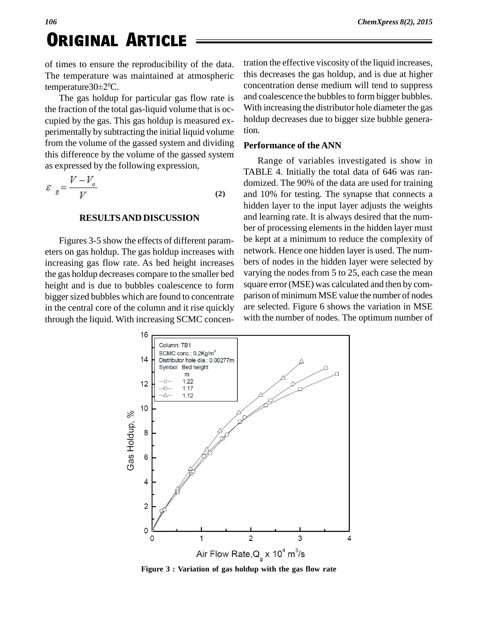of times to ensure the reproducibility of the data. track-<br>The temperature was maintained at atmospheric the<br>temperature30 $\pm$ 2<sup>o</sup>C. The temperature was maintained at atmospheric temperature  $30 \pm 2^0$ C.

*<sup>106</sup>* **. Original Article**

The gas holdup for particular gas flow rate is the fraction of the total gas-liquid volume that is oc cupied by the gas. This gas holdup is measured ex perimentally by subtracting the initial liquid volume from the volume of the gassed system and dividing this difference by the volume of the gassed system as expressed by the following expression,

$$
\varepsilon_g = \frac{V - V_o}{V} \tag{2}
$$

#### **RESULTSAND DISCUSSION**

Figures 3-5 show the effects of different param eters on gas holdup. The gas holdup increases with increasing gas flow rate. As bed height increases the gas holdup decreases compare to the smaller bed height and is due to bubbles coalescence to form bigger sized bubbles which are found to concentrate in the central core of the column and it rise quickly through the liquid. With increasing SCMC concentration the effective viscosity of the liquid increases, this decreases the gas holdup, and is due at higher concentration dense medium will tend to suppress and coalescence the bubbles to form bigger bubbles. With increasing the distributor hole diameter the gas holdup decreases due to bigger size bubble generation.

#### **Performance of the ANN**

Range of variables investigated is show in TABLE 4. Initially the total data of 646 was ran domized. The 90% of the data are used for training and 10% for testing. The synapse that connects a hidden layer to the input layer adjusts the weights and learning rate. It is always desired that the num ber of processing elements in the hidden layer must be kept at a minimum to reduce the complexity of network. Hence one hidden layer is used. The num bers of nodes in the hidden layer were selected by varying the nodes from 5 to 25, each case the mean square error(MSE) was calculated and then by com parison of minimum MSE value the number of nodes are selected. Figure 6 shows the variation in MSE with the number of nodes. The optimum number of



**Figure 3 : Variation of gas holdup with the gas flow rate**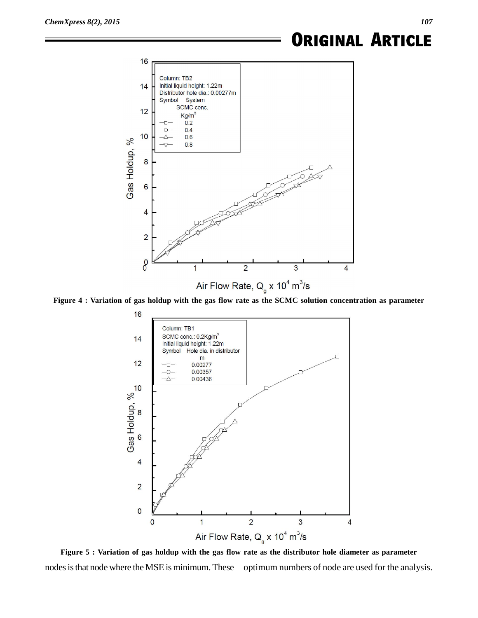

Figure 4 : Variation of gas holdup with the gas flow rate as the SCMC solution concentration as parameter



Figure 5 : Variation of gas holdup with the gas flow rate as the distributor hole diameter as parameter nodes is that node where the MSE is minimum. These optimum numbers of node are used for the analysis.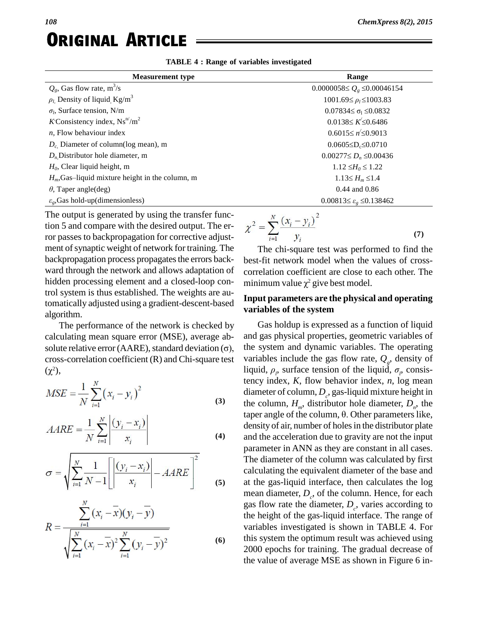| <b>Measurement</b> type                          | Range                                           |
|--------------------------------------------------|-------------------------------------------------|
| $Q_e$ , Gas flow rate, m <sup>3</sup> /s         | $0.0000058 \le Q_g \le 0.00046154$              |
| $\rho_l$ Density of liquid Kg/m <sup>3</sup>     | $1001.69 \le \rho_1 \le 1003.83$                |
| $\sigma_l$ , Surface tension, N/m                | $0.07834 \leq \sigma_1 \leq 0.0832$             |
| K Consistency index, $Ns^{n}/m^2$                | $0.0138 \leq K' \leq 0.6486$                    |
| $n$ . Flow behaviour index                       | $0.6015 \le n \le 0.9013$                       |
| $D_c$ . Diameter of column(log mean), m          | $0.0605 \le D_c \le 0.0710$                     |
| $D_n$ Distributor hole diameter, m               | $0.00277 \le D_n \le 0.00436$                   |
| $H_0$ , Clear liquid height, m                   | $1.12 \leq H_0 \leq 1.22$                       |
| $H_m$ Gas-liquid mixture height in the column, m | $1.13 \le H_m \le 1.4$                          |
| $\theta$ , Taper angle(deg)                      | 0.44 and 0.86                                   |
| $\varepsilon_e$ , Gas hold-up(dimensionless)     | $0.00813 \leq \varepsilon_{\rho} \leq 0.138462$ |

**TABLE 4 : Range of variables investigated**

The output is generated by using the transfer function 5 and compare with the desired output. The error passes to backpropagation for corrective adjust ment of synaptic weight of network for training. The backpropagation process propagates the errors backward through the network and allows adaptation of hidden processing element and a closed-loop control system is thus established. The weights are automatically adjusted using a gradient-descent-based algorithm.

The performance of the network is checked by Ga calculating mean square error (MSE), average ab-<br>solute relative error (AARE), standard deviation ( $\sigma$ ), the sys calculating mean square error (MSE), average ab cross-correlation coefficient (R) and Chi-square test solute relative error (AARE), standard deviation  $(\sigma)$ ,  $(\chi^2)$ ,

$$
MSE = \frac{1}{N} \sum_{i=1}^{N} (x_i - y_i)^2
$$
 (3)

$$
AARE = \frac{1}{N} \sum_{i=1}^{N} \left| \frac{(y_i - x_i)}{x_i} \right|
$$
 (4)

$$
\sigma = \sqrt{\sum_{i=1}^{N} \frac{1}{N-1} \left[ \left| \frac{(y_i - x_i)}{x_i} \right| - AARE \right]^2}
$$
 (5)

$$
R = \frac{\sum_{i=1}^{N} (x_i - \overline{x})(y_i - \overline{y})}{\sqrt{\sum_{i=1}^{N} (x_i - \overline{x})^2 \sum_{i=1}^{N} (y_i - \overline{y})^2}}
$$
(6)

$$
y^{2} = \sum_{i=1}^{N} \frac{(x_{i} - y_{i})^{2}}{y_{i}}
$$
 (7)

The chi-square test was performed to find the best-fit network model when the values of cross correlation coefficient are close to each other. The best-fit network model when the value correlation coefficient are close to each minimum value  $\chi^2$  give best model.

#### **Input parameters are the physical and operating variables of the system**

Gas holdup is expressed as a function of liquid and gas physical properties, geometric variables of the system and dynamic variables. The operating variables include the gas flow rate,  $Q_{g}$ , density of the system and dynamic variables. The operating<br>variables include the gas flow rate,  $Q<sub>s</sub>$ , density of<br>liquid,  $\rho<sub>t</sub>$ , surface tension of the liquid,  $\sigma<sub>t</sub>$ , consistency index, *K*, flow behavior index, *n*, log mean diameter of column, *D<sup>c</sup>* , gas-liquid mixture height in the column,  $H_m$ , distributor hole diameter,  $D_n$ , the diameter of column,  $D_c$ , gas-liquid mixture height in<br>the column,  $H_m$ , distributor hole diameter,  $D_n$ , the<br>taper angle of the column,  $\theta$ . Other parameters like, density of air, number of holes in the distributor plate and the acceleration due to gravity are not the input parameter in ANN as they are constant in all cases. The diameter of the column was calculated by first calculating the equivalent diameter of the base and at the gas-liquid interface, then calculates the log mean diameter,  $D_c$ , of the column. Hence, for each gas flow rate the diameter,  $D_c$ , varies according to the height of the gas-liquid interface. The range of variables investigated is shown in TABLE 4. For this system the optimum result was achieved using 2000 epochs for training. The gradual decrease of the value of average MSE as shown in Figure 6 in-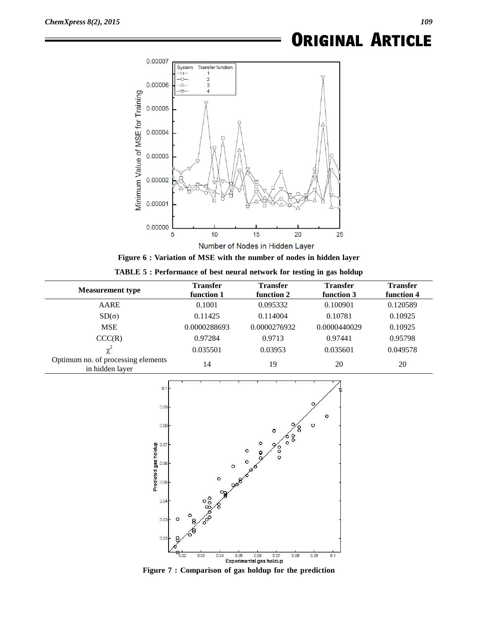

**Figure 6 : Variation of MSE with the number of nodes in hidden layer**

| TABLE 5 : Performance of best neural network for testing in gas holdup |
|------------------------------------------------------------------------|
|------------------------------------------------------------------------|

| <b>Measurement type</b>                               | <b>Transfer</b><br>function 1 | <b>Transfer</b><br>function 2 | <b>Transfer</b><br>function 3 | <b>Transfer</b><br>function 4 |
|-------------------------------------------------------|-------------------------------|-------------------------------|-------------------------------|-------------------------------|
| AARE                                                  | 0.1001                        | 0.095332                      | 0.100901                      | 0.120589                      |
| $SD(\sigma)$                                          | 0.11425                       | 0.114004                      | 0.10781                       | 0.10925                       |
| <b>MSE</b>                                            | 0.0000288693                  | 0.0000276932                  | 0.0000440029                  | 0.10925                       |
| CCC(R)                                                | 0.97284                       | 0.9713                        | 0.97441                       | 0.95798                       |
| $\chi^2$                                              | 0.035501                      | 0.03953                       | 0.035601                      | 0.049578                      |
| Optimum no. of processing elements<br>in hidden layer | 14                            | 19                            | 20                            | 20                            |



**Figure 7 : Comparison of gas holdup for the prediction**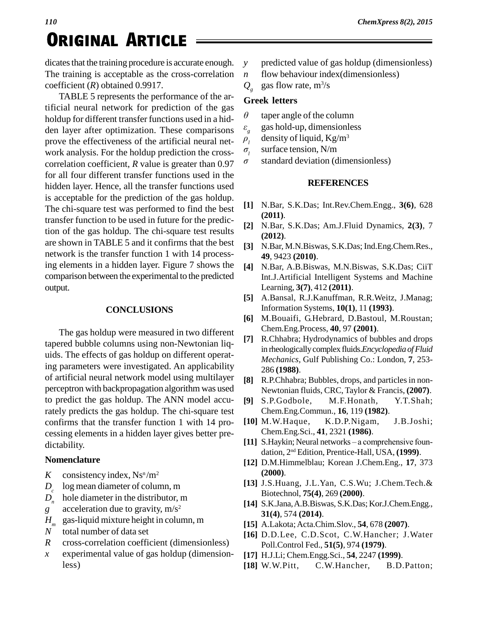dicates that the training procedure is accurate enough.  $y = y$ The training is acceptable as the cross-correlation  $n$ coefficient (*R*) obtained 0.9917.

*<sup>110</sup>* **. Original Article**

TABLE 5 represents the performance of the artificial neural network for prediction of the gas holdup for different transfer functions used in a hid den layer after optimization. These comparisons prove the effectiveness of the artificial neural net-<br>work analysis. For the holding prediction the cross-<br> $\sigma_l$ work analysis. For the holdup prediction the cross correlation coefficient, *R* value is greater than 0.97  $\sigma$ for all four different transfer functions used in the hidden layer. Hence, all the transfer functions used is acceptable for the prediction of the gas holdup. The chi-square test was performed to find the best transfer function to be used in future for the prediction of the gas holdup. The chi-square test results are shown in TABLE 5 and it confirms that the best network is the transfer function 1 with 14 processing elements in a hidden layer. Figure 7 shows the comparison between the experimental to the predicted output.

#### **CONCLUSIONS**

The gas holdup were measured in two different tapered bubble columns using non-Newtonian liq uids. The effects of gas holdup on different operating parameters were investigated. An applicability of artificial neural network model using multilayer perceptron with backpropagation algorithm was used to predict the gas holdup. The ANN model accurately predicts the gas holdup. The chi-square test confirms that the transfer function 1 with 14 pro cessing elements in a hidden layer gives better pre dictability.

#### **Nomenclature**

- K consistency index,  $Ns^n/m^2$
- $D_c$  log mean diameter of column, m<br> $D_p$  hole diameter in the distributor, i
- hole diameter in the distributor, m
- *g* acceleration due to gravity, m/s 2
- $H_m$  gas-liquid mixture height in column, m<br>*N* total number of data set
- *N* total number of data set
- *R* cross-correlation coefficient (dimensionless)
- *x* experimental value of gas holdup (dimensionless)
- predicted value of gas holdup (dimensionless)
- flow behaviour index(dimensionless)
- $Q_{g}$  gas flow rate, m<sup>3</sup>/s  $Q_{\scriptscriptstyle\sigma}$

#### **Greek letters** *Â*

- taper angle of the column *Ò*
- *<sup>g</sup>* gas hold-up, dimensionless  $\mathcal{E}_g$
- density of liquid, Kg/m<sup>3</sup>  $\rho$ <sub>i</sub>
- *<sup>l</sup>* surface tension, N/m
- standard deviation (dimensionless)

#### **REFERENCES**

- **[1]** N.Bar, S.K.Das; Int.Rev.Chem.Engg., **3(6)**, 628 **(2011)**.
- **[2]** N.Bar, S.K.Das; Am.J.Fluid Dynamics, **2(3)**, 7 **(2012)**.
- **[3]** N.Bar, M.N.Biswas, S.K.Das; Ind.Eng.Chem.Res., **49**, 9423 **(2010)**.
- **[4]** N.Bar, A.B.Biswas, M.N.Biswas, S.K.Das; CiiT Int.J.Artificial Intelligent Systems and Machine Learning, **3(7)**, 412 **(2011)**.
- **[5]** A.Bansal, R.J.Kanuffman, R.R.Weitz, J.Manag; Information Systems, **10(1)**, 11 **(1993)**.
- **[6]** M.Bouaifi, G.Hebrard, D.Bastoul, M.Roustan; Chem.Eng.Process, **40**, 97 **(2001)**.
- **[7]** R.Chhabra; Hydrodynamics of bubbles and drops in rheologicallycomplex fluids.*Encyclopedia ofFluid Mechanics,* Gulf Publishing Co.: London, **7**, 253- 286 **(1988)**.
- **[8]** R.P.Chhabra; Bubbles, drops, and particlesin non- Newtonian fluids, CRC, Taylor & Francis, **(2007)**.
- **[9]** S.P.Godbole, M.F.Honath, Y.T.Shah; Chem.Eng.Commun., **16**, 119 **(1982)**.
- **[10]** M.W.Haque, K.D.P.Nigam, J.B.Joshi; Chem.Eng.Sci., **41**, 2321 **(1986)**.
- [11] S.Haykin; Neural networks a comprehensive foundation, 2 nd Edition, Prentice-Hall, USA, **(1999)**.
- **[12]** D.M.Himmelblau; Korean J.Chem.Eng., **17**, 373 **(2000)**.
- **[13]** J.S.Huang, J.L.Yan, C.S.Wu; J.Chem.Tech.& Biotechnol, **75(4)**, 269 **(2000)**.
- **[14]** S.K.Jana,A.B.Biswas, S.K.Das; Kor.J.Chem.Engg., **31(4)**, 574 **(2014)**.
- **[15]** A.Lakota;Acta.Chim.Slov., **54**, 678 **(2007)**.
- **[16]** D.D.Lee, C.D.Scot, C.W.Hancher; J.Water Poll.Control Fed., **51(5)**, 974 **(1979)**.
- **[17]** H.J.Li; Chem.Engg.Sci., **54**, 2247 **(1999)**.
- **[18]** W.W.Pitt, C.W.Hancher, B.D.Patton;